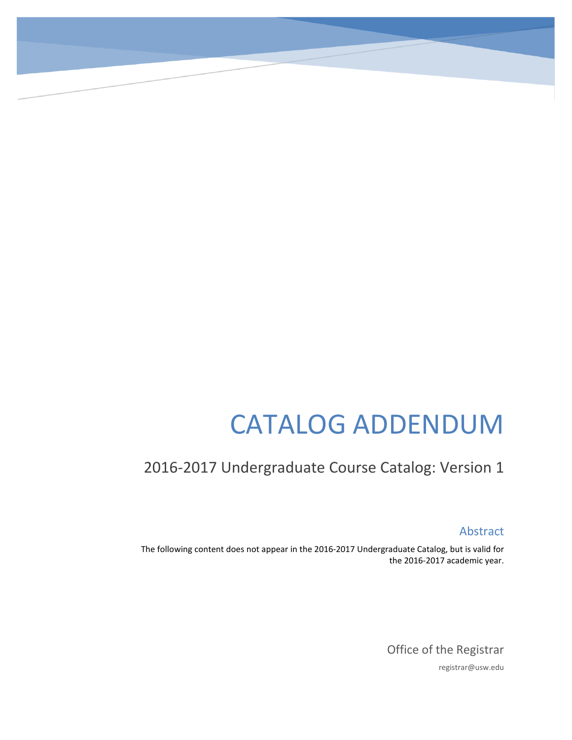# CATALOG ADDENDUM

## 2016-2017 Undergraduate Course Catalog: Version 1

Abstract

The following content does not appear in the 2016-2017 Undergraduate Catalog, but is valid for the 2016-2017 academic year.

> Office of the Registrar registrar@usw.edu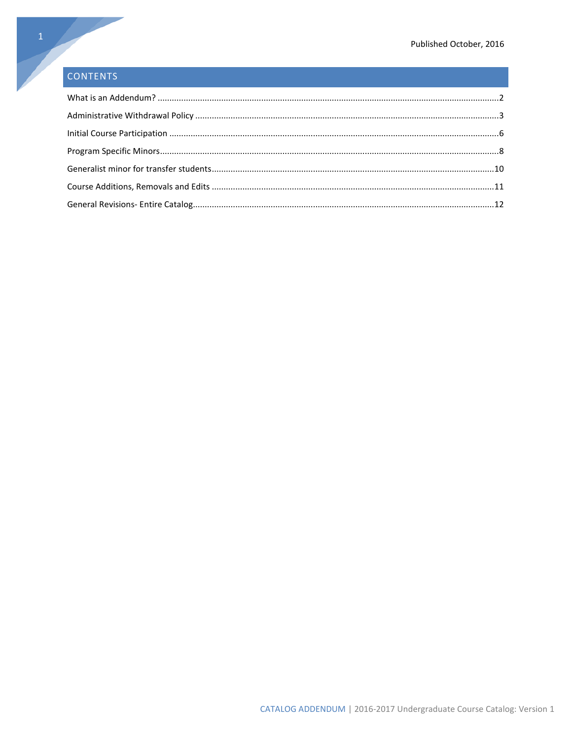### CONTENTS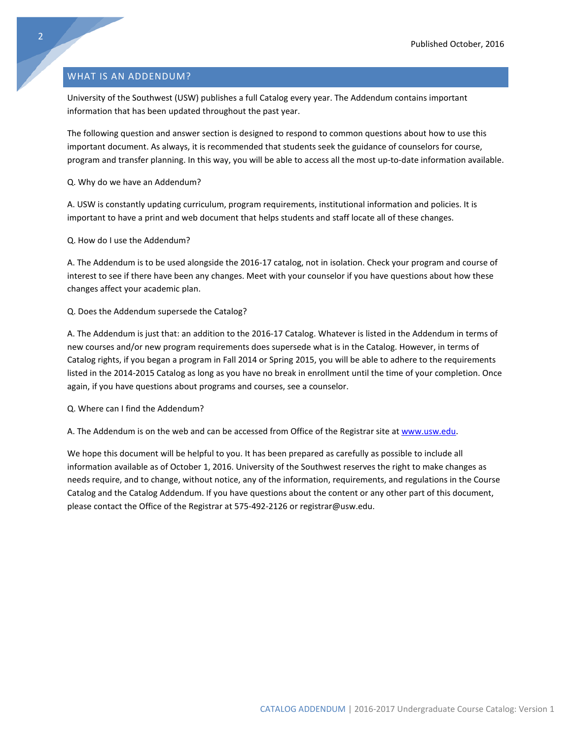#### <span id="page-2-0"></span>WHAT IS AN ADDENDUM?

University of the Southwest (USW) publishes a full Catalog every year. The Addendum contains important information that has been updated throughout the past year.

The following question and answer section is designed to respond to common questions about how to use this important document. As always, it is recommended that students seek the guidance of counselors for course, program and transfer planning. In this way, you will be able to access all the most up-to-date information available.

Q. Why do we have an Addendum?

A. USW is constantly updating curriculum, program requirements, institutional information and policies. It is important to have a print and web document that helps students and staff locate all of these changes.

Q. How do I use the Addendum?

A. The Addendum is to be used alongside the 2016-17 catalog, not in isolation. Check your program and course of interest to see if there have been any changes. Meet with your counselor if you have questions about how these changes affect your academic plan.

#### Q. Does the Addendum supersede the Catalog?

A. The Addendum is just that: an addition to the 2016-17 Catalog. Whatever is listed in the Addendum in terms of new courses and/or new program requirements does supersede what is in the Catalog. However, in terms of Catalog rights, if you began a program in Fall 2014 or Spring 2015, you will be able to adhere to the requirements listed in the 2014-2015 Catalog as long as you have no break in enrollment until the time of your completion. Once again, if you have questions about programs and courses, see a counselor.

Q. Where can I find the Addendum?

A. The Addendum is on the web and can be accessed from Office of the Registrar site at [www.usw.edu.](http://www.usw.edu/)

We hope this document will be helpful to you. It has been prepared as carefully as possible to include all information available as of October 1, 2016. University of the Southwest reserves the right to make changes as needs require, and to change, without notice, any of the information, requirements, and regulations in the Course Catalog and the Catalog Addendum. If you have questions about the content or any other part of this document, please contact the Office of the Registrar at 575-492-2126 or registrar@usw.edu.

2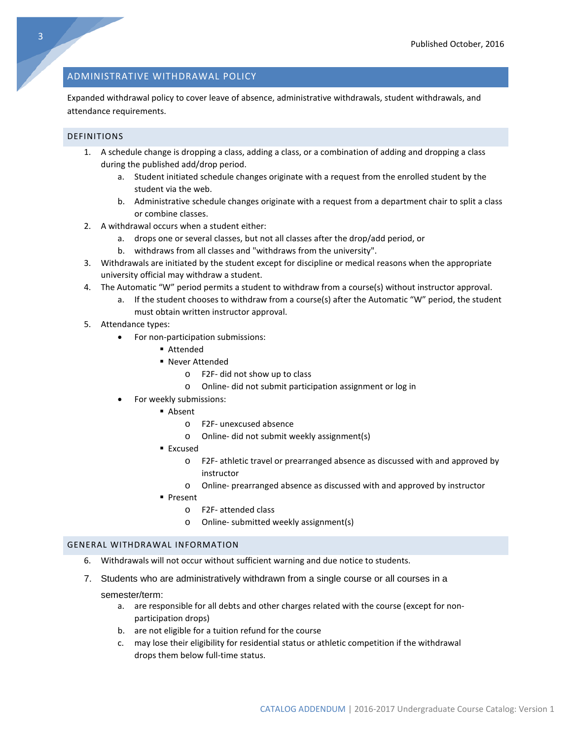#### <span id="page-3-0"></span>ADMINISTRATIVE WITHDRAWAL POLICY

Expanded withdrawal policy to cover leave of absence, administrative withdrawals, student withdrawals, and attendance requirements.

#### DEFINITIONS

- 1. A schedule change is dropping a class, adding a class, or a combination of adding and dropping a class during the published add/drop period.
	- a. Student initiated schedule changes originate with a request from the enrolled student by the student via the web.
	- b. Administrative schedule changes originate with a request from a department chair to split a class or combine classes.
- 2. A withdrawal occurs when a student either:
	- a. drops one or several classes, but not all classes after the drop/add period, or
	- b. withdraws from all classes and "withdraws from the university".
- 3. Withdrawals are initiated by the student except for discipline or medical reasons when the appropriate university official may withdraw a student.
- 4. The Automatic "W" period permits a student to withdraw from a course(s) without instructor approval.
	- a. If the student chooses to withdraw from a course(s) after the Automatic "W" period, the student must obtain written instructor approval.
- 5. Attendance types:
	- For non-participation submissions:
		- Attended
		- Never Attended
			- o F2F- did not show up to class
			- o Online- did not submit participation assignment or log in
	- For weekly submissions:
		- Absent
			- o F2F- unexcused absence
			- o Online- did not submit weekly assignment(s)
			- Excused
				- o F2F- athletic travel or prearranged absence as discussed with and approved by instructor
				- o Online- prearranged absence as discussed with and approved by instructor
			- **Present** 
				- o F2F- attended class
				- o Online- submitted weekly assignment(s)

#### GENERAL WITHDRAWAL INFORMATION

- 6. Withdrawals will not occur without sufficient warning and due notice to students.
- 7. Students who are administratively withdrawn from a single course or all courses in a

#### semester/term:

- a. are responsible for all debts and other charges related with the course (except for nonparticipation drops)
- b. are not eligible for a tuition refund for the course
- c. may lose their eligibility for residential status or athletic competition if the withdrawal drops them below full-time status.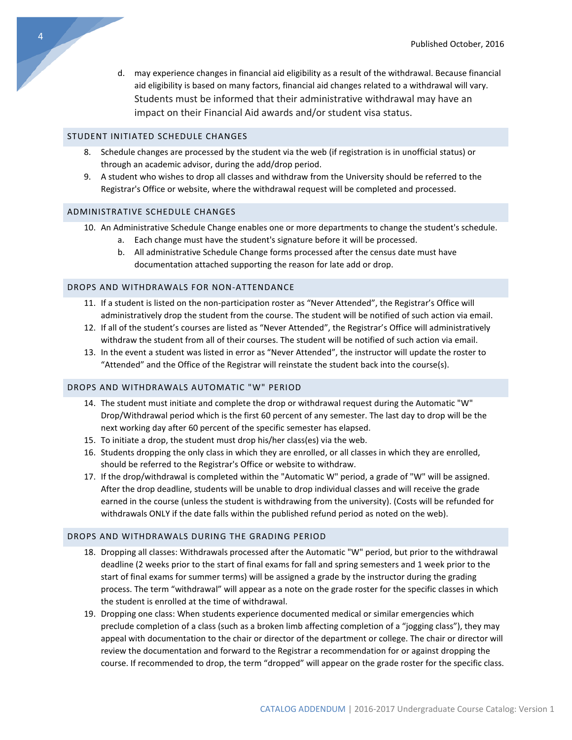d. may experience changes in financial aid eligibility as a result of the withdrawal. Because financial aid eligibility is based on many factors, financial aid changes related to a withdrawal will vary. Students must be informed that their administrative withdrawal may have an impact on their Financial Aid awards and/or student visa status.

#### STUDENT INITIATED SCHEDULE CHANGES

- 8. Schedule changes are processed by the student via the web (if registration is in unofficial status) or through an academic advisor, during the add/drop period.
- 9. A student who wishes to drop all classes and withdraw from the University should be referred to the Registrar's Office or website, where the withdrawal request will be completed and processed.

#### ADMINISTRATIVE SCHEDULE CHANGES

- 10. An Administrative Schedule Change enables one or more departments to change the student's schedule.
	- a. Each change must have the student's signature before it will be processed.
	- b. All administrative Schedule Change forms processed after the census date must have documentation attached supporting the reason for late add or drop.

#### DROPS AND WITHDRAWALS FOR NON-ATTENDANCE

- 11. If a student is listed on the non-participation roster as "Never Attended", the Registrar's Office will administratively drop the student from the course. The student will be notified of such action via email.
- 12. If all of the student's courses are listed as "Never Attended", the Registrar's Office will administratively withdraw the student from all of their courses. The student will be notified of such action via email.
- 13. In the event a student was listed in error as "Never Attended", the instructor will update the roster to "Attended" and the Office of the Registrar will reinstate the student back into the course(s).

#### DROPS AND WITHDRAWALS AUTOMATIC "W" PERIOD

- 14. The student must initiate and complete the drop or withdrawal request during the Automatic "W" Drop/Withdrawal period which is the first 60 percent of any semester. The last day to drop will be the next working day after 60 percent of the specific semester has elapsed.
- 15. To initiate a drop, the student must drop his/her class(es) via the web.
- 16. Students dropping the only class in which they are enrolled, or all classes in which they are enrolled, should be referred to the Registrar's Office or website to withdraw.
- 17. If the drop/withdrawal is completed within the "Automatic W" period, a grade of "W" will be assigned. After the drop deadline, students will be unable to drop individual classes and will receive the grade earned in the course (unless the student is withdrawing from the university). (Costs will be refunded for withdrawals ONLY if the date falls within the published refund period as noted on the web).

#### DROPS AND WITHDRAWALS DURING THE GRADING PERIOD

- 18. Dropping all classes: Withdrawals processed after the Automatic "W" period, but prior to the withdrawal deadline (2 weeks prior to the start of final exams for fall and spring semesters and 1 week prior to the start of final exams for summer terms) will be assigned a grade by the instructor during the grading process. The term "withdrawal" will appear as a note on the grade roster for the specific classes in which the student is enrolled at the time of withdrawal.
- 19. Dropping one class: When students experience documented medical or similar emergencies which preclude completion of a class (such as a broken limb affecting completion of a "jogging class"), they may appeal with documentation to the chair or director of the department or college. The chair or director will review the documentation and forward to the Registrar a recommendation for or against dropping the course. If recommended to drop, the term "dropped" will appear on the grade roster for the specific class.

4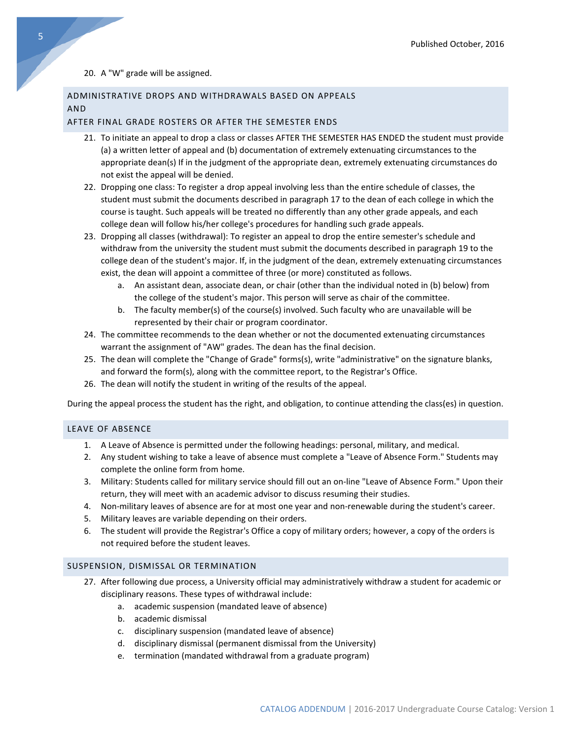#### 20. A "W" grade will be assigned.

#### ADMINISTRATIVE DROPS AND WITHDRAWALS BASED ON APPEALS AND

#### AFTER FINAL GRADE ROSTERS OR AFTER THE SEMESTER ENDS

- 21. To initiate an appeal to drop a class or classes AFTER THE SEMESTER HAS ENDED the student must provide (a) a written letter of appeal and (b) documentation of extremely extenuating circumstances to the appropriate dean(s) If in the judgment of the appropriate dean, extremely extenuating circumstances do not exist the appeal will be denied.
- 22. Dropping one class: To register a drop appeal involving less than the entire schedule of classes, the student must submit the documents described in paragraph 17 to the dean of each college in which the course is taught. Such appeals will be treated no differently than any other grade appeals, and each college dean will follow his/her college's procedures for handling such grade appeals.
- 23. Dropping all classes (withdrawal): To register an appeal to drop the entire semester's schedule and withdraw from the university the student must submit the documents described in paragraph 19 to the college dean of the student's major. If, in the judgment of the dean, extremely extenuating circumstances exist, the dean will appoint a committee of three (or more) constituted as follows.
	- a. An assistant dean, associate dean, or chair (other than the individual noted in (b) below) from the college of the student's major. This person will serve as chair of the committee.
	- b. The faculty member(s) of the course(s) involved. Such faculty who are unavailable will be represented by their chair or program coordinator.
- 24. The committee recommends to the dean whether or not the documented extenuating circumstances warrant the assignment of "AW" grades. The dean has the final decision.
- 25. The dean will complete the "Change of Grade" forms(s), write "administrative" on the signature blanks, and forward the form(s), along with the committee report, to the Registrar's Office.
- 26. The dean will notify the student in writing of the results of the appeal.

During the appeal process the student has the right, and obligation, to continue attending the class(es) in question.

#### LEAVE OF ABSENCE

- 1. A Leave of Absence is permitted under the following headings: personal, military, and medical.
- 2. Any student wishing to take a leave of absence must complete a "Leave of Absence Form." Students may complete the online form from home.
- 3. Military: Students called for military service should fill out an on-line "Leave of Absence Form." Upon their return, they will meet with an academic advisor to discuss resuming their studies.
- 4. Non-military leaves of absence are for at most one year and non-renewable during the student's career.
- 5. Military leaves are variable depending on their orders.
- 6. The student will provide the Registrar's Office a copy of military orders; however, a copy of the orders is not required before the student leaves.

#### SUSPENSION, DISMISSAL OR TERMINATION

- 27. After following due process, a University official may administratively withdraw a student for academic or disciplinary reasons. These types of withdrawal include:
	- a. academic suspension (mandated leave of absence)
	- b. academic dismissal
	- c. disciplinary suspension (mandated leave of absence)
	- d. disciplinary dismissal (permanent dismissal from the University)
	- e. termination (mandated withdrawal from a graduate program)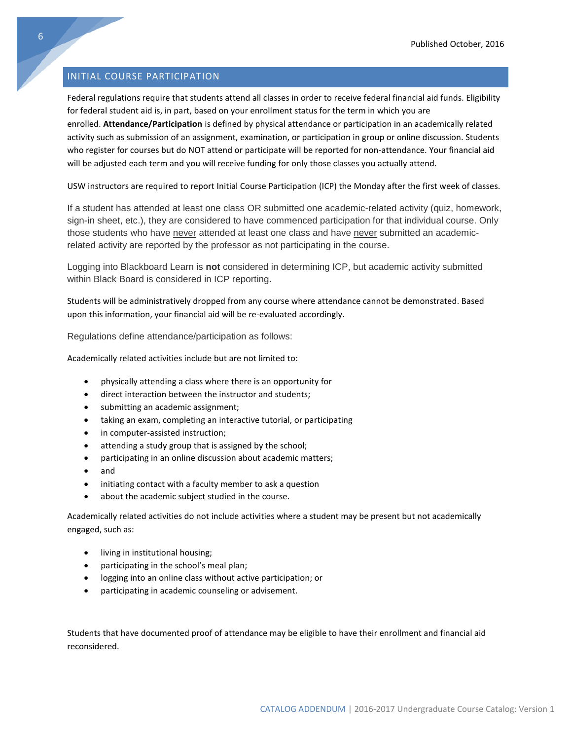#### <span id="page-6-0"></span>INITIAL COURSE PARTICIPATION

Federal regulations require that students attend all classes in order to receive federal financial aid funds. Eligibility for federal student aid is, in part, based on your enrollment status for the term in which you are enrolled. **Attendance/Participation** is defined by physical attendance or participation in an academically related activity such as submission of an assignment, examination, or participation in group or online discussion. Students who register for courses but do NOT attend or participate will be reported for non-attendance. Your financial aid will be adjusted each term and you will receive funding for only those classes you actually attend.

USW instructors are required to report Initial Course Participation (ICP) the Monday after the first week of classes.

If a student has attended at least one class OR submitted one academic-related activity (quiz, homework, sign-in sheet, etc.), they are considered to have commenced participation for that individual course. Only those students who have never attended at least one class and have never submitted an academicrelated activity are reported by the professor as not participating in the course.

Logging into Blackboard Learn is **not** considered in determining ICP, but academic activity submitted within Black Board is considered in ICP reporting.

Students will be administratively dropped from any course where attendance cannot be demonstrated. Based upon this information, your financial aid will be re-evaluated accordingly.

Regulations define attendance/participation as follows:

Academically related activities include but are not limited to:

- physically attending a class where there is an opportunity for
- direct interaction between the instructor and students;
- submitting an academic assignment;
- taking an exam, completing an interactive tutorial, or participating
- in computer-assisted instruction;
- attending a study group that is assigned by the school;
- participating in an online discussion about academic matters;
- and
- initiating contact with a faculty member to ask a question
- about the academic subject studied in the course.

Academically related activities do not include activities where a student may be present but not academically engaged, such as:

- living in institutional housing;
- participating in the school's meal plan;
- logging into an online class without active participation; or
- participating in academic counseling or advisement.

Students that have documented proof of attendance may be eligible to have their enrollment and financial aid reconsidered.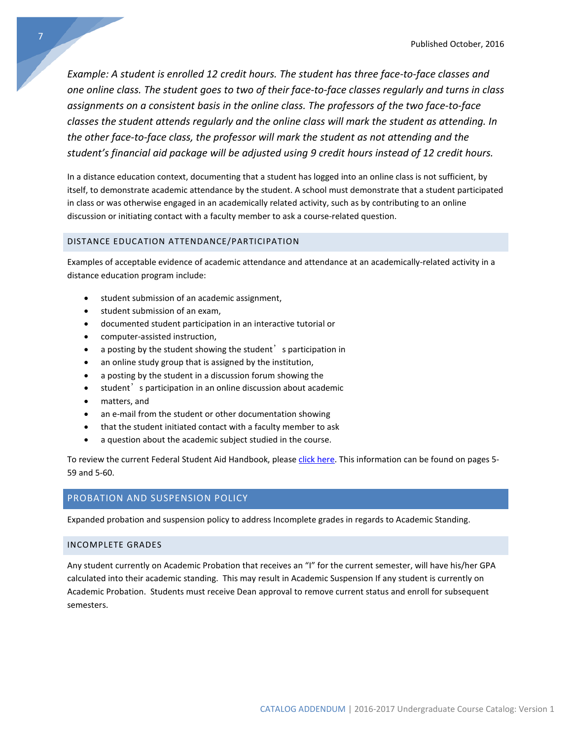*Example: A student is enrolled 12 credit hours. The student has three face-to-face classes and one online class. The student goes to two of their face-to-face classes regularly and turns in class assignments on a consistent basis in the online class. The professors of the two face-to-face classes the student attends regularly and the online class will mark the student as attending. In the other face-to-face class, the professor will mark the student as not attending and the student's financial aid package will be adjusted using 9 credit hours instead of 12 credit hours.*

In a distance education context, documenting that a student has logged into an online class is not sufficient, by itself, to demonstrate academic attendance by the student. A school must demonstrate that a student participated in class or was otherwise engaged in an academically related activity, such as by contributing to an online discussion or initiating contact with a faculty member to ask a course-related question.

#### DISTANCE EDUCATION ATTENDANCE/PARTICIPATION

Examples of acceptable evidence of academic attendance and attendance at an academically-related activity in a distance education program include:

- student submission of an academic assignment,
- student submission of an exam,
- documented student participation in an interactive tutorial or
- computer-assisted instruction,
- a posting by the student showing the student  $\delta$  is participation in
- an online study group that is assigned by the institution,
- a posting by the student in a discussion forum showing the
- student's participation in an online discussion about academic
- matters, and
- an e-mail from the student or other documentation showing
- that the student initiated contact with a faculty member to ask
- a question about the academic subject studied in the course.

To review the current Federal Student Aid Handbook, please [click here.](https://ifap.ed.gov/ifap/byAwardYear.jsp?type=fsahandbook) This information can be found on pages 5-59 and 5-60.

#### PROBATION AND SUSPENSION POLICY

Expanded probation and suspension policy to address Incomplete grades in regards to Academic Standing.

#### INCOMPLETE GRADES

Any student currently on Academic Probation that receives an "I" for the current semester, will have his/her GPA calculated into their academic standing. This may result in Academic Suspension If any student is currently on Academic Probation. Students must receive Dean approval to remove current status and enroll for subsequent semesters.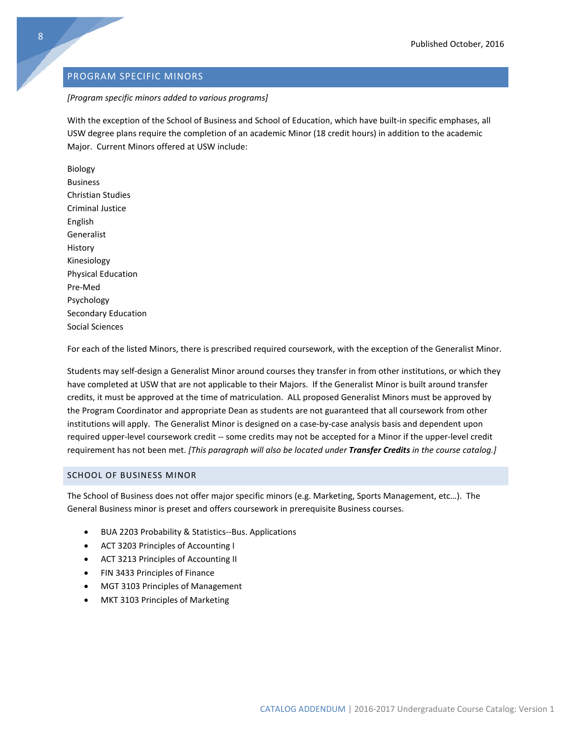#### <span id="page-8-0"></span>PROGRAM SPECIFIC MINORS

#### *[Program specific minors added to various programs]*

With the exception of the School of Business and School of Education, which have built-in specific emphases, all USW degree plans require the completion of an academic Minor (18 credit hours) in addition to the academic Major. Current Minors offered at USW include:

Biology Business Christian Studies Criminal Justice English Generalist History Kinesiology Physical Education Pre-Med Psychology Secondary Education Social Sciences

For each of the listed Minors, there is prescribed required coursework, with the exception of the Generalist Minor.

Students may self-design a Generalist Minor around courses they transfer in from other institutions, or which they have completed at USW that are not applicable to their Majors. If the Generalist Minor is built around transfer credits, it must be approved at the time of matriculation. ALL proposed Generalist Minors must be approved by the Program Coordinator and appropriate Dean as students are not guaranteed that all coursework from other institutions will apply. The Generalist Minor is designed on a case-by-case analysis basis and dependent upon required upper-level coursework credit -- some credits may not be accepted for a Minor if the upper-level credit requirement has not been met. *[This paragraph will also be located under Transfer Credits in the course catalog.]*

#### SCHOOL OF BUSINESS MINOR

The School of Business does not offer major specific minors (e.g. Marketing, Sports Management, etc…). The General Business minor is preset and offers coursework in prerequisite Business courses.

- BUA 2203 Probability & Statistics--Bus. Applications
- ACT 3203 Principles of Accounting I
- ACT 3213 Principles of Accounting II
- FIN 3433 Principles of Finance
- MGT 3103 Principles of Management
- MKT 3103 Principles of Marketing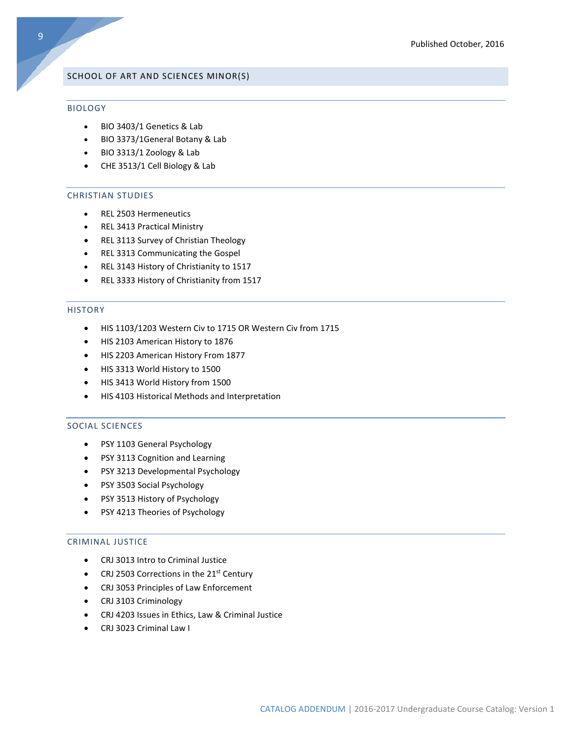#### SCHOOL OF ART AND SCIENCES MINOR(S)

#### BIOLOGY

- BIO 3403/1 Genetics & Lab
- BIO 3373/1General Botany & Lab
- BIO 3313/1 Zoology & Lab
- CHE 3513/1 Cell Biology & Lab

#### CHRISTIAN STUDIES

- REL 2503 Hermeneutics
- REL 3413 Practical Ministry
- REL 3113 Survey of Christian Theology
- REL 3313 Communicating the Gospel
- REL 3143 History of Christianity to 1517
- REL 3333 History of Christianity from 1517

#### HISTORY

- HIS 1103/1203 Western Civ to 1715 OR Western Civ from 1715
- HIS 2103 American History to 1876
- HIS 2203 American History From 1877
- HIS 3313 World History to 1500
- HIS 3413 World History from 1500
- HIS 4103 Historical Methods and Interpretation

#### SOCIAL SCIENCES

- PSY 1103 General Psychology
- PSY 3113 Cognition and Learning
- PSY 3213 Developmental Psychology
- PSY 3503 Social Psychology
- PSY 3513 History of Psychology
- PSY 4213 Theories of Psychology

#### CRIMINAL JUSTICE

- CRJ 3013 Intro to Criminal Justice
- CRJ 2503 Corrections in the 21<sup>st</sup> Century
- CRJ 3053 Principles of Law Enforcement
- CRJ 3103 Criminology
- CRJ 4203 Issues in Ethics, Law & Criminal Justice
- CRJ 3023 Criminal Law I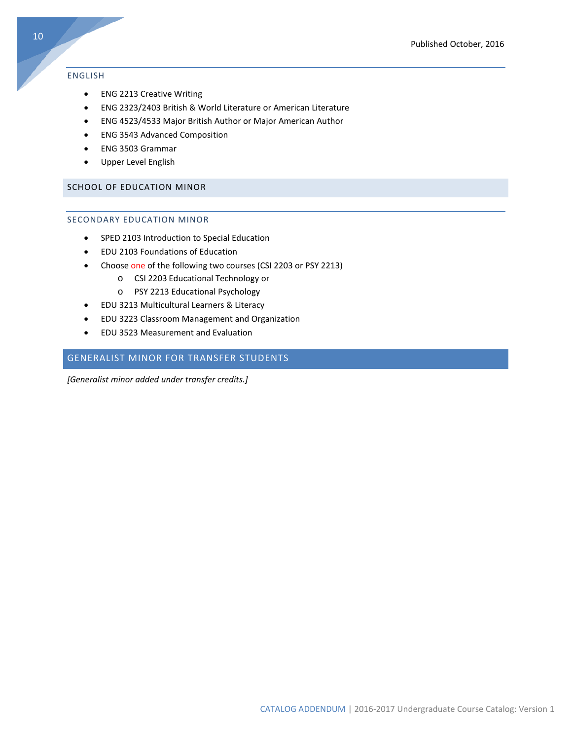#### ENGLISH

- ENG 2213 Creative Writing
- ENG 2323/2403 British & World Literature or American Literature
- ENG 4523/4533 Major British Author or Major American Author
- ENG 3543 Advanced Composition
- ENG 3503 Grammar
- Upper Level English

#### SCHOOL OF EDUCATION MINOR

#### SECONDARY EDUCATION MINOR

- SPED 2103 Introduction to Special Education
- EDU 2103 Foundations of Education
- Choose one of the following two courses (CSI 2203 or PSY 2213)
	- o CSI 2203 Educational Technology or
	- o PSY 2213 Educational Psychology
- EDU 3213 Multicultural Learners & Literacy
- EDU 3223 Classroom Management and Organization
- EDU 3523 Measurement and Evaluation

#### <span id="page-10-0"></span>GENERALIST MINOR FOR TRANSFER STUDENTS

*[Generalist minor added under transfer credits.]*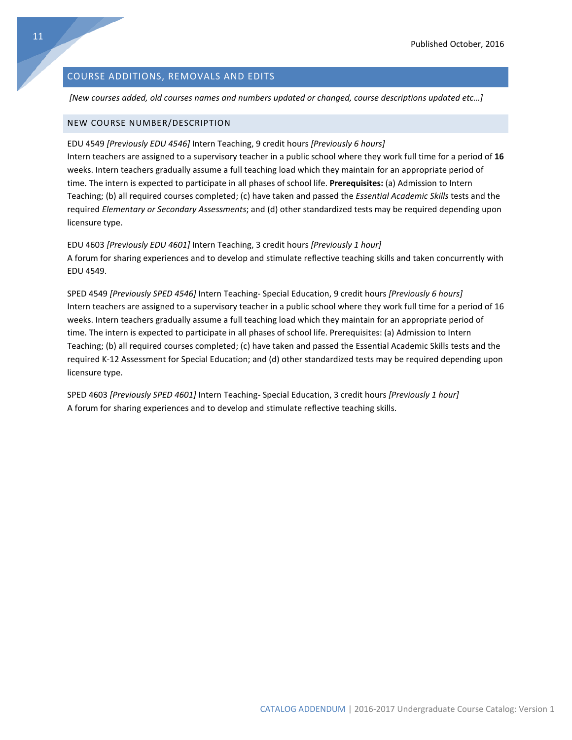#### <span id="page-11-0"></span>COURSE ADDITIONS, REMOVALS AND EDITS

*[New courses added, old courses names and numbers updated or changed, course descriptions updated etc…]*

#### NEW COURSE NUMBER/DESCRIPTION

EDU 4549 *[Previously EDU 4546]* Intern Teaching, 9 credit hours *[Previously 6 hours]*

Intern teachers are assigned to a supervisory teacher in a public school where they work full time for a period of **16** weeks. Intern teachers gradually assume a full teaching load which they maintain for an appropriate period of time. The intern is expected to participate in all phases of school life. **Prerequisites:** (a) Admission to Intern Teaching; (b) all required courses completed; (c) have taken and passed the *Essential Academic Skills* tests and the required *Elementary or Secondary Assessments*; and (d) other standardized tests may be required depending upon licensure type.

EDU 4603 *[Previously EDU 4601]* Intern Teaching, 3 credit hours *[Previously 1 hour]* A forum for sharing experiences and to develop and stimulate reflective teaching skills and taken concurrently with EDU 4549.

SPED 4549 *[Previously SPED 4546]* Intern Teaching- Special Education, 9 credit hours *[Previously 6 hours]* Intern teachers are assigned to a supervisory teacher in a public school where they work full time for a period of 16 weeks. Intern teachers gradually assume a full teaching load which they maintain for an appropriate period of time. The intern is expected to participate in all phases of school life. Prerequisites: (a) Admission to Intern Teaching; (b) all required courses completed; (c) have taken and passed the Essential Academic Skills tests and the required K-12 Assessment for Special Education; and (d) other standardized tests may be required depending upon licensure type.

SPED 4603 *[Previously SPED 4601]* Intern Teaching- Special Education, 3 credit hours *[Previously 1 hour]* A forum for sharing experiences and to develop and stimulate reflective teaching skills.